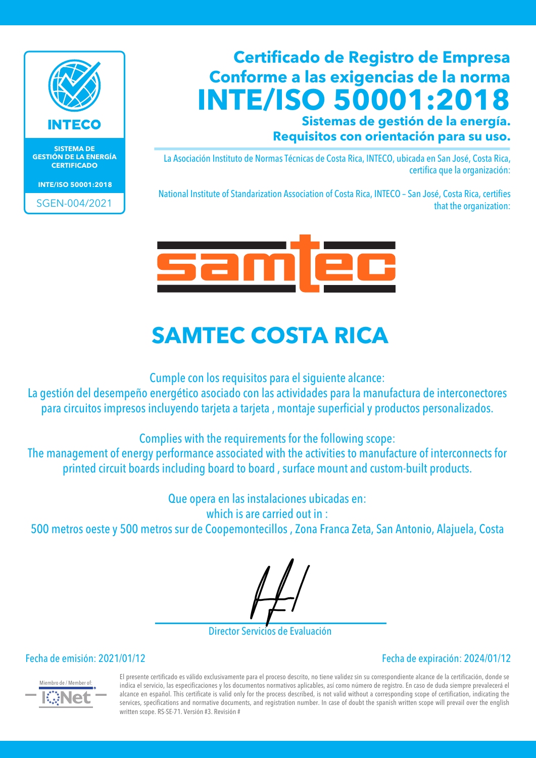

**SISTEMA DE GESTIÓN DE LA ENERGÍA CERTIFICADO**

**INTE/ISO 50001:2018**

SGEN-004/2021

### **Certificado de Registro de Empresa Conforme a las exigencias de la norma INTE/ISO 50001:2018**

**Sistemas de gestión de la energía. Requisitos con orientación para su uso.**

La Asociación Instituto de Normas Técnicas de Costa Rica, INTECO, ubicada en San José, Costa Rica, certifica que la organización:

National Institute of Standarization Association of Costa Rica, INTECO – San José, Costa Rica, certifies that the organization:



## **SAMTEC COSTA RICA**

Cumple con los requisitos para el siguiente alcance:

La gestión del desempeño energético asociado con las actividades para la manufactura de interconectores para circuitos impresos incluyendo tarjeta a tarjeta , montaje superficial y productos personalizados.

Complies with the requirements for the following scope:

The management of energy performance associated with the activities to manufacture of interconnects for printed circuit boards including board to board , surface mount and custom-built products.

Que opera en las instalaciones ubicadas en:

which is are carried out in :

500 metros oeste y 500 metros sur de Coopemontecillos , Zona Franca Zeta, San Antonio, Alajuela, Costa

Director Servicios de Evaluación

Fecha de emisión: 2021/01/12 Fecha de expiración: 2024/01/12



El presente certificado es válido exclusivamente para el proceso descrito, no tiene validez sin su correspondiente alcance de la certificación, donde se indica el servicio, las especificaciones y los documentos normativos aplicables, así como número de registro. En caso de duda siempre prevalecerá el alcance en español. This certificate is valid only for the process described, is not valid without a corresponding scope of certification, indicating the services, specifications and normative documents, and registration number. In case of doubt the spanish written scope will prevail over the english written scope. RS-SE-71. Versión #3. Revisión #